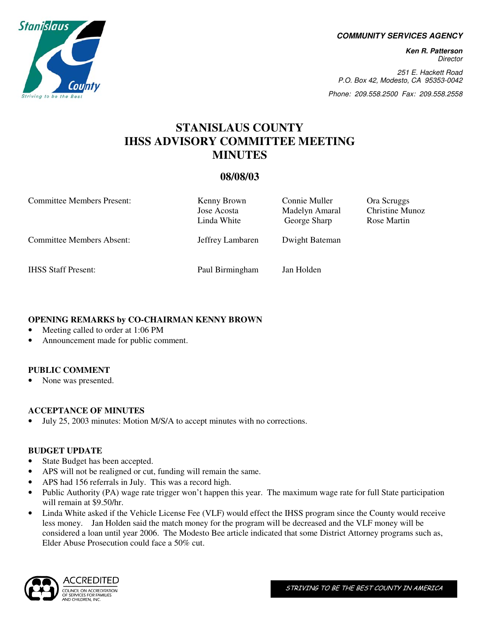**COMMUNITY SERVICES AGENCY** 

**Ken R. Patterson**  Director

251 E. Hackett Road P.O. Box 42, Modesto, CA 95353-0042

Phone: 209.558.2500 Fax: 209.558.2558

Christine Munoz Rose Martin

# **STANISLAUS COUNTY IHSS ADVISORY COMMITTEE MEETING MINUTES**

# **08/08/03**

| <b>Committee Members Present:</b> | Kenny Brown<br>Jose Acosta<br>Linda White | Connie Muller<br>Madelyn Amaral<br>George Sharp | Ora Scruggs<br>Christine Mu<br>Rose Martin |
|-----------------------------------|-------------------------------------------|-------------------------------------------------|--------------------------------------------|
| <b>Committee Members Absent:</b>  | Jeffrey Lambaren                          | Dwight Bateman                                  |                                            |
| <b>IHSS Staff Present:</b>        | Paul Birmingham                           | Jan Holden                                      |                                            |

## **OPENING REMARKS by CO-CHAIRMAN KENNY BROWN**

- Meeting called to order at 1:06 PM
- Announcement made for public comment.

## **PUBLIC COMMENT**

None was presented.

## **ACCEPTANCE OF MINUTES**

• July 25, 2003 minutes: Motion M/S/A to accept minutes with no corrections.

#### **BUDGET UPDATE**

- State Budget has been accepted.
- APS will not be realigned or cut, funding will remain the same.
- APS had 156 referrals in July. This was a record high.
- Public Authority (PA) wage rate trigger won't happen this year. The maximum wage rate for full State participation will remain at \$9.50/hr.
- Linda White asked if the Vehicle License Fee (VLF) would effect the IHSS program since the County would receive less money. Jan Holden said the match money for the program will be decreased and the VLF money will be considered a loan until year 2006. The Modesto Bee article indicated that some District Attorney programs such as, Elder Abuse Prosecution could face a 50% cut.



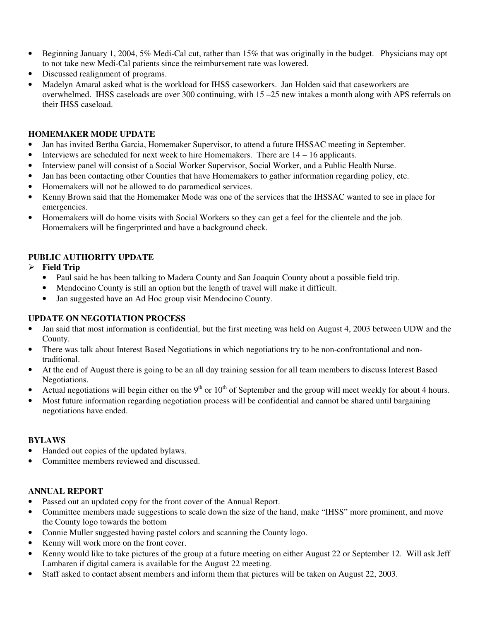- Beginning January 1, 2004, 5% Medi-Cal cut, rather than 15% that was originally in the budget. Physicians may opt to not take new Medi-Cal patients since the reimbursement rate was lowered.
- Discussed realignment of programs.
- Madelyn Amaral asked what is the workload for IHSS caseworkers. Jan Holden said that caseworkers are overwhelmed. IHSS caseloads are over 300 continuing, with 15 –25 new intakes a month along with APS referrals on their IHSS caseload.

## **HOMEMAKER MODE UPDATE**

- Jan has invited Bertha Garcia, Homemaker Supervisor, to attend a future IHSSAC meeting in September.
- Interviews are scheduled for next week to hire Homemakers. There are  $14 16$  applicants.
- Interview panel will consist of a Social Worker Supervisor, Social Worker, and a Public Health Nurse.
- Jan has been contacting other Counties that have Homemakers to gather information regarding policy, etc.
- Homemakers will not be allowed to do paramedical services.
- Kenny Brown said that the Homemaker Mode was one of the services that the IHSSAC wanted to see in place for emergencies.
- Homemakers will do home visits with Social Workers so they can get a feel for the clientele and the job. Homemakers will be fingerprinted and have a background check.

# **PUBLIC AUTHORITY UPDATE**

## **Field Trip**

- Paul said he has been talking to Madera County and San Joaquin County about a possible field trip.
- Mendocino County is still an option but the length of travel will make it difficult.
- Jan suggested have an Ad Hoc group visit Mendocino County.

## **UPDATE ON NEGOTIATION PROCESS**

- Jan said that most information is confidential, but the first meeting was held on August 4, 2003 between UDW and the County.
- There was talk about Interest Based Negotiations in which negotiations try to be non-confrontational and nontraditional.
- At the end of August there is going to be an all day training session for all team members to discuss Interest Based Negotiations.
- Actual negotiations will begin either on the 9<sup>th</sup> or  $10<sup>th</sup>$  of September and the group will meet weekly for about 4 hours.
- Most future information regarding negotiation process will be confidential and cannot be shared until bargaining negotiations have ended.

#### **BYLAWS**

- Handed out copies of the updated bylaws.
- Committee members reviewed and discussed.

## **ANNUAL REPORT**

- Passed out an updated copy for the front cover of the Annual Report.
- Committee members made suggestions to scale down the size of the hand, make "IHSS" more prominent, and move the County logo towards the bottom
- Connie Muller suggested having pastel colors and scanning the County logo.
- Kenny will work more on the front cover.
- Kenny would like to take pictures of the group at a future meeting on either August 22 or September 12. Will ask Jeff Lambaren if digital camera is available for the August 22 meeting.
- Staff asked to contact absent members and inform them that pictures will be taken on August 22, 2003.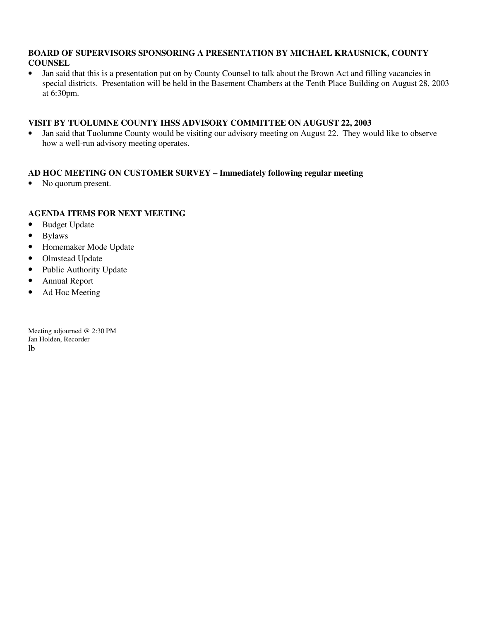#### **BOARD OF SUPERVISORS SPONSORING A PRESENTATION BY MICHAEL KRAUSNICK, COUNTY COUNSEL**

• Jan said that this is a presentation put on by County Counsel to talk about the Brown Act and filling vacancies in special districts. Presentation will be held in the Basement Chambers at the Tenth Place Building on August 28, 2003 at 6:30pm.

## **VISIT BY TUOLUMNE COUNTY IHSS ADVISORY COMMITTEE ON AUGUST 22, 2003**

• Jan said that Tuolumne County would be visiting our advisory meeting on August 22. They would like to observe how a well-run advisory meeting operates.

# **AD HOC MEETING ON CUSTOMER SURVEY – Immediately following regular meeting**

• No quorum present.

## **AGENDA ITEMS FOR NEXT MEETING**

- Budget Update
- Bylaws
- Homemaker Mode Update
- Olmstead Update
- Public Authority Update
- Annual Report
- Ad Hoc Meeting

Meeting adjourned @ 2:30 PM Jan Holden, Recorder lb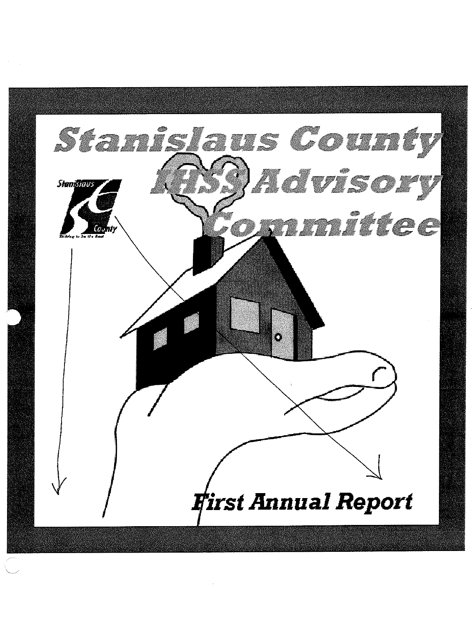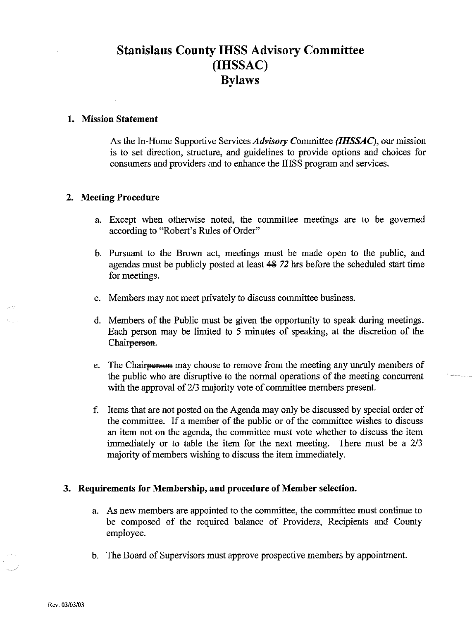# **Stanislaus County IHSS Advisory Committee** (IHSSAC) **Bylaws**

#### 1. Mission Statement

As the In-Home Supportive Services Advisory Committee (IHSSAC), our mission is to set direction, structure, and guidelines to provide options and choices for consumers and providers and to enhance the IHSS program and services.

#### 2. Meeting Procedure

- a. Except when otherwise noted, the committee meetings are to be governed according to "Robert's Rules of Order"
- b. Pursuant to the Brown act, meetings must be made open to the public, and agendas must be publicly posted at least 48 72 hrs before the scheduled start time for meetings.
- c. Members may not meet privately to discuss committee business.
- d. Members of the Public must be given the opportunity to speak during meetings. Each person may be limited to 5 minutes of speaking, at the discretion of the Chair<del>person</del>.
- e. The Chair<del>person</del> may choose to remove from the meeting any unruly members of the public who are disruptive to the normal operations of the meeting concurrent with the approval of 2/3 majority vote of committee members present.
- f. Items that are not posted on the Agenda may only be discussed by special order of the committee. If a member of the public or of the committee wishes to discuss an item not on the agenda, the committee must vote whether to discuss the item immediately or to table the item for the next meeting. There must be a 2/3 majority of members wishing to discuss the item immediately.

#### 3. Requirements for Membership, and procedure of Member selection.

- a. As new members are appointed to the committee, the committee must continue to be composed of the required balance of Providers, Recipients and County employee.
- b. The Board of Supervisors must approve prospective members by appointment.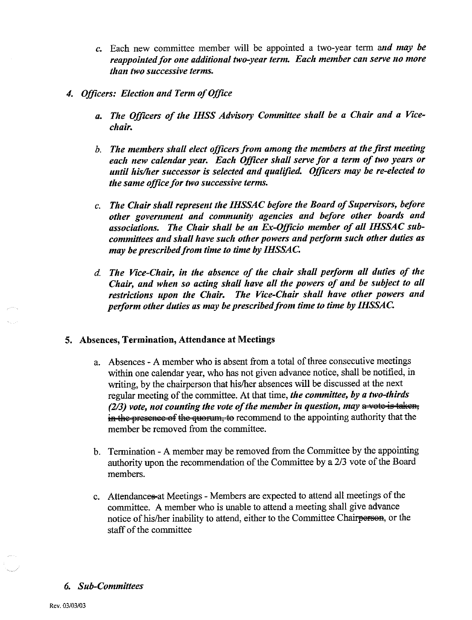- c. Each new committee member will be appointed a two-year term and may be reappointed for one additional two-year term. Each member can serve no more than two successive terms.
- 4. Officers: Election and Term of Office
	- a. The Officers of the IHSS Advisory Committee shall be a Chair and a Vicechair.
	- b. The members shall elect officers from among the members at the first meeting each new calendar year. Each Officer shall serve for a term of two years or until his/her successor is selected and qualified. Officers may be re-elected to the same office for two successive terms.
	- c. The Chair shall represent the IHSSAC before the Board of Supervisors, before other government and community agencies and before other boards and associations. The Chair shall be an Ex-Officio member of all IHSSAC subcommittees and shall have such other powers and perform such other duties as may be prescribed from time to time by IHSSAC.
	- d. The Vice-Chair, in the absence of the chair shall perform all duties of the Chair, and when so acting shall have all the powers of and be subject to all restrictions upon the Chair. The Vice-Chair shall have other powers and perform other duties as may be prescribed from time to time by IHSSAC.

#### 5. Absences, Termination, Attendance at Meetings

- a. Absences A member who is absent from a total of three consecutive meetings within one calendar year, who has not given advance notice, shall be notified, in writing, by the chairperson that his/her absences will be discussed at the next regular meeting of the committee. At that time, the committee, by a two-thirds  $(2/3)$  vote, not counting the vote of the member in question, may a vote is taken, in the presence of the quorum, to recommend to the appointing authority that the member be removed from the committee.
- b. Termination A member may be removed from the Committee by the appointing authority upon the recommendation of the Committee by a 2/3 vote of the Board members.
- c. Attendances at Meetings Members are expected to attend all meetings of the committee. A member who is unable to attend a meeting shall give advance notice of his/her inability to attend, either to the Committee Chairperson, or the staff of the committee

#### **6.** Sub-Committees